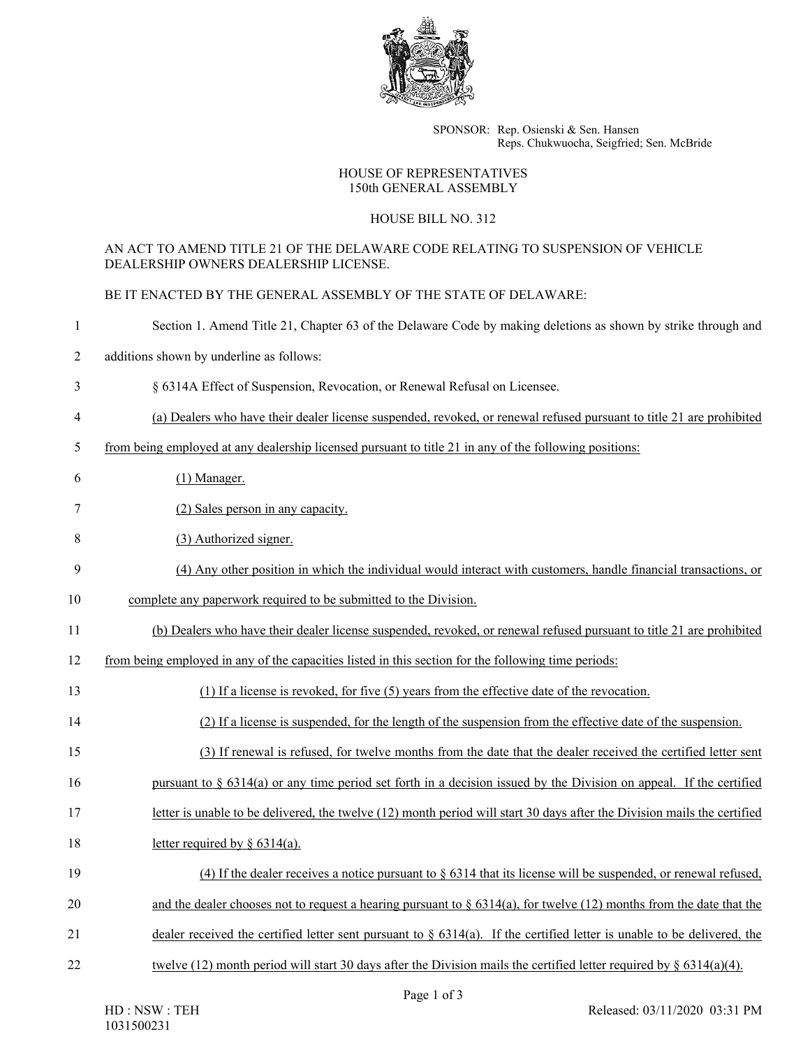

SPONSOR: Rep. Osienski & Sen. Hansen Reps. Chukwuocha, Seigfried; Sen. McBride

## HOUSE OF REPRESENTATIVES 150th GENERAL ASSEMBLY

## HOUSE BILL NO. 312

## AN ACT TO AMEND TITLE 21 OF THE DELAWARE CODE RELATING TO SUSPENSION OF VEHICLE DEALERSHIP OWNERS DEALERSHIP LICENSE.

BE IT ENACTED BY THE GENERAL ASSEMBLY OF THE STATE OF DELAWARE:

| $\mathbf{1}$    | Section 1. Amend Title 21, Chapter 63 of the Delaware Code by making deletions as shown by strike through and              |
|-----------------|----------------------------------------------------------------------------------------------------------------------------|
| $\overline{c}$  | additions shown by underline as follows:                                                                                   |
| 3               | § 6314A Effect of Suspension, Revocation, or Renewal Refusal on Licensee.                                                  |
| 4               | (a) Dealers who have their dealer license suspended, revoked, or renewal refused pursuant to title 21 are prohibited       |
| 5               | from being employed at any dealership licensed pursuant to title 21 in any of the following positions:                     |
| 6               | $(1)$ Manager.                                                                                                             |
| 7               | (2) Sales person in any capacity.                                                                                          |
| 8               | (3) Authorized signer.                                                                                                     |
| 9               | (4) Any other position in which the individual would interact with customers, handle financial transactions, or            |
| 10              | complete any paperwork required to be submitted to the Division.                                                           |
| 11              | (b) Dealers who have their dealer license suspended, revoked, or renewal refused pursuant to title 21 are prohibited       |
| 12              | from being employed in any of the capacities listed in this section for the following time periods:                        |
| 13              | (1) If a license is revoked, for five (5) years from the effective date of the revocation.                                 |
| 14              | (2) If a license is suspended, for the length of the suspension from the effective date of the suspension.                 |
| 15              | (3) If renewal is refused, for twelve months from the date that the dealer received the certified letter sent              |
| 16              | pursuant to $\S$ 6314(a) or any time period set forth in a decision issued by the Division on appeal. If the certified     |
| 17              | letter is unable to be delivered, the twelve (12) month period will start 30 days after the Division mails the certified   |
| 18              | letter required by $\S$ 6314(a).                                                                                           |
| 19              | (4) If the dealer receives a notice pursuant to $\S$ 6314 that its license will be suspended, or renewal refused,          |
| 20              | and the dealer chooses not to request a hearing pursuant to $\S 6314(a)$ , for twelve (12) months from the date that the   |
| $\overline{21}$ | dealer received the certified letter sent pursuant to $\S$ 6314(a). If the certified letter is unable to be delivered, the |
| 22              | twelve (12) month period will start 30 days after the Division mails the certified letter required by $\S 6314(a)(4)$ .    |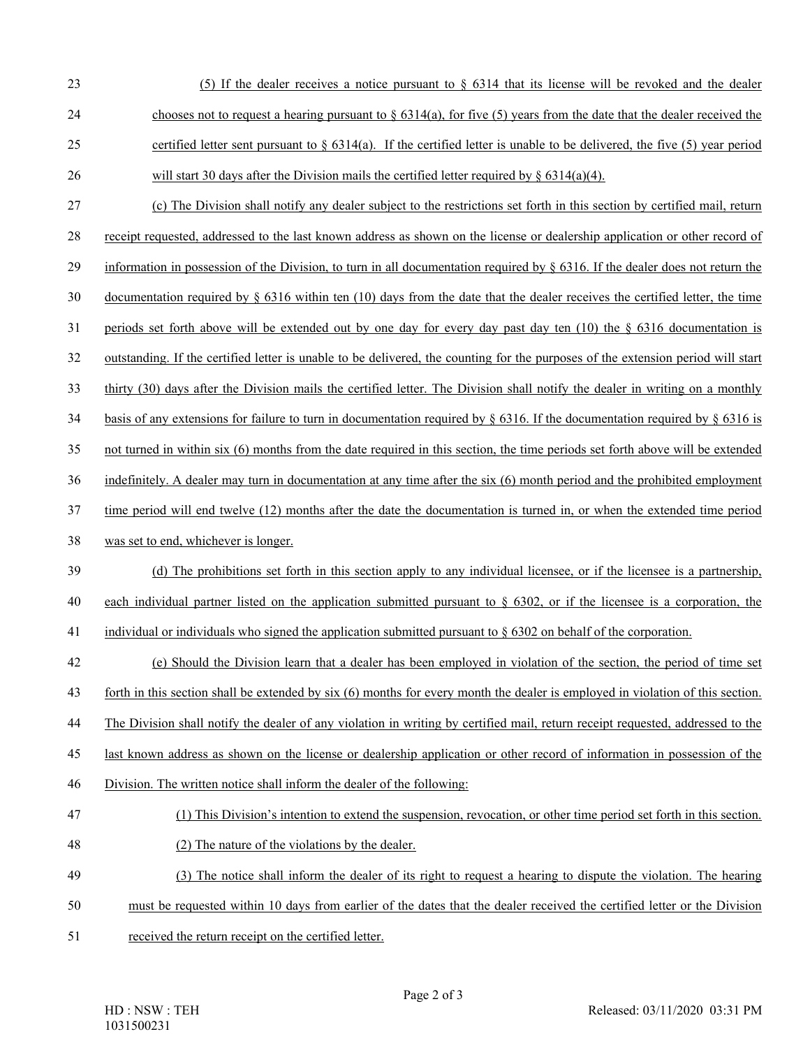- 23 (5) If the dealer receives a notice pursuant to § 6314 that its license will be revoked and the dealer 24 chooses not to request a hearing pursuant to  $\S 6314(a)$ , for five (5) years from the date that the dealer received the 25 certified letter sent pursuant to  $\S 6314(a)$ . If the certified letter is unable to be delivered, the five (5) year period 26 will start 30 days after the Division mails the certified letter required by  $\S 6314(a)(4)$ .
- 27 (c) The Division shall notify any dealer subject to the restrictions set forth in this section by certified mail, return
- 28 receipt requested, addressed to the last known address as shown on the license or dealership application or other record of
- 29 information in possession of the Division, to turn in all documentation required by § 6316. If the dealer does not return the
- 30 documentation required by  $\S$  6316 within ten (10) days from the date that the dealer receives the certified letter, the time
- 31 periods set forth above will be extended out by one day for every day past day ten (10) the § 6316 documentation is
- 32 outstanding. If the certified letter is unable to be delivered, the counting for the purposes of the extension period will start
- 33 thirty (30) days after the Division mails the certified letter. The Division shall notify the dealer in writing on a monthly
- 34 basis of any extensions for failure to turn in documentation required by § 6316. If the documentation required by § 6316 is
- 35 not turned in within six (6) months from the date required in this section, the time periods set forth above will be extended
- 36 indefinitely. A dealer may turn in documentation at any time after the six (6) month period and the prohibited employment
- 37 time period will end twelve (12) months after the date the documentation is turned in, or when the extended time period
- 38 was set to end, whichever is longer.
- 39 (d) The prohibitions set forth in this section apply to any individual licensee, or if the licensee is a partnership, 40 each individual partner listed on the application submitted pursuant to § 6302, or if the licensee is a corporation, the
- 41 individual or individuals who signed the application submitted pursuant to § 6302 on behalf of the corporation.
- 42 (e) Should the Division learn that a dealer has been employed in violation of the section, the period of time set
- 43 forth in this section shall be extended by six (6) months for every month the dealer is employed in violation of this section.
- 44 The Division shall notify the dealer of any violation in writing by certified mail, return receipt requested, addressed to the
- 45 last known address as shown on the license or dealership application or other record of information in possession of the
- 46 Division. The written notice shall inform the dealer of the following:
- 47 (1) This Division's intention to extend the suspension, revocation, or other time period set forth in this section.
- 48 (2) The nature of the violations by the dealer.
- 49 (3) The notice shall inform the dealer of its right to request a hearing to dispute the violation. The hearing
- 50 must be requested within 10 days from earlier of the dates that the dealer received the certified letter or the Division
- 51 received the return receipt on the certified letter.